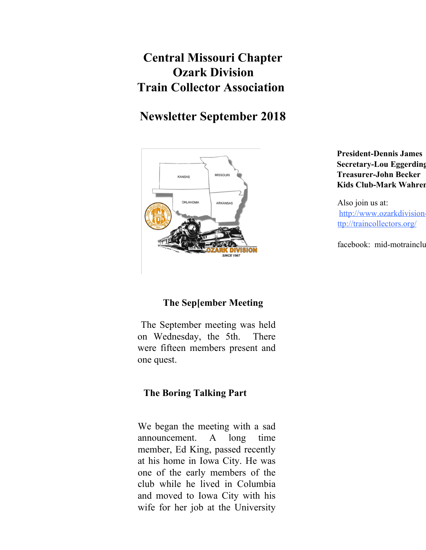# **Central Missouri Chapter Ozark Division Train Collector Association**

# **Newsletter September 2018**



**President-Dennis James Secretary-Lou Eggerding Treasurer-John Becker Kids Club-Mark Wahren** 

Also join us at: http://www.ozarkdivisionttp://traincollectors.org/

facebook: mid-motrainclub

### **The Sep[ember Meeting**

The September meeting was held on Wednesday, the 5th. There were fifteen members present and one quest.

### **The Boring Talking Part**

We began the meeting with a sad announcement. A long time member, Ed King, passed recently at his home in Iowa City. He was one of the early members of the club while he lived in Columbia and moved to Iowa City with his wife for her job at the University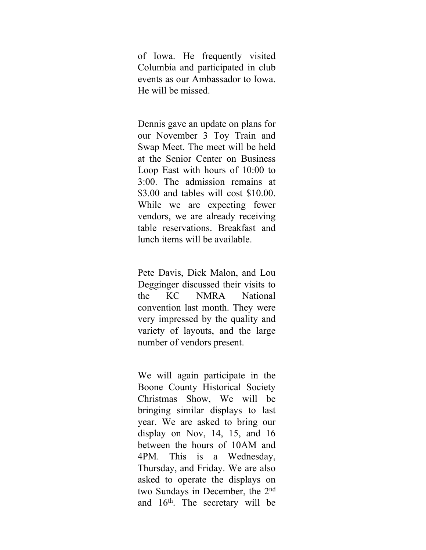of Iowa. He frequently visited Columbia and participated in club events as our Ambassador to Iowa. He will be missed.

Dennis gave an update on plans for our November 3 Toy Train and Swap Meet. The meet will be held at the Senior Center on Business Loop East with hours of 10:00 to 3:00. The admission remains at \$3.00 and tables will cost \$10.00. While we are expecting fewer vendors, we are already receiving table reservations. Breakfast and lunch items will be available.

Pete Davis, Dick Malon, and Lou Degginger discussed their visits to the KC NMRA National convention last month. They were very impressed by the quality and variety of layouts, and the large number of vendors present.

We will again participate in the Boone County Historical Society Christmas Show, We will be bringing similar displays to last year. We are asked to bring our display on Nov, 14, 15, and 16 between the hours of 10AM and 4PM. This is a Wednesday, Thursday, and Friday. We are also asked to operate the displays on two Sundays in December, the 2<sup>nd</sup> and 16<sup>th</sup>. The secretary will be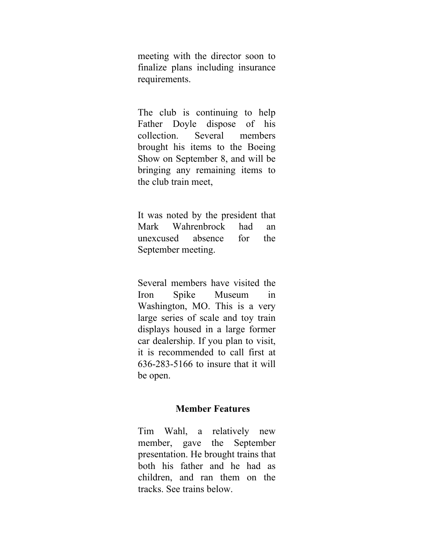meeting with the director soon to finalize plans including insurance requirements.

The club is continuing to help Father Doyle dispose of his collection. Several members brought his items to the Boeing Show on September 8, and will be bringing any remaining items to the club train meet,

It was noted by the president that Mark Wahrenbrock had an unexcused absence for the September meeting.

Several members have visited the Iron Spike Museum in Washington, MO. This is a very large series of scale and toy train displays housed in a large former car dealership. If you plan to visit, it is recommended to call first at 636-283-5166 to insure that it will be open.

#### **Member Features**

Tim Wahl, a relatively new member, gave the September presentation. He brought trains that both his father and he had as children, and ran them on the tracks. See trains below.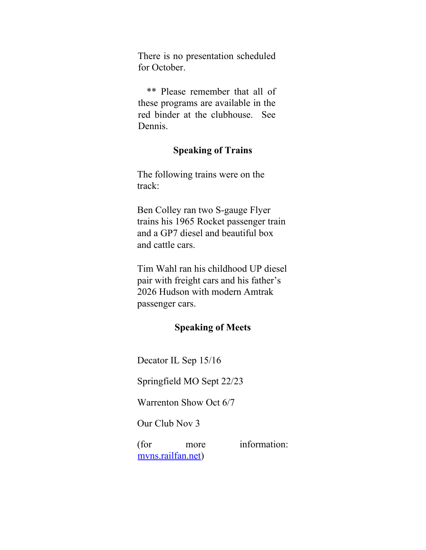There is no presentation scheduled for October.

\*\* Please remember that all of these programs are available in the red binder at the clubhouse. See Dennis.

### **Speaking of Trains**

The following trains were on the track:

Ben Colley ran two S-gauge Flyer trains his 1965 Rocket passenger train and a GP7 diesel and beautiful box and cattle cars.

Tim Wahl ran his childhood UP diesel pair with freight cars and his father's 2026 Hudson with modern Amtrak passenger cars.

#### **Speaking of Meets**

Decator IL Sep 15/16

Springfield MO Sept 22/23

Warrenton Show Oct 6/7

Our Club Nov 3

(for more information: mvns.railfan.net)